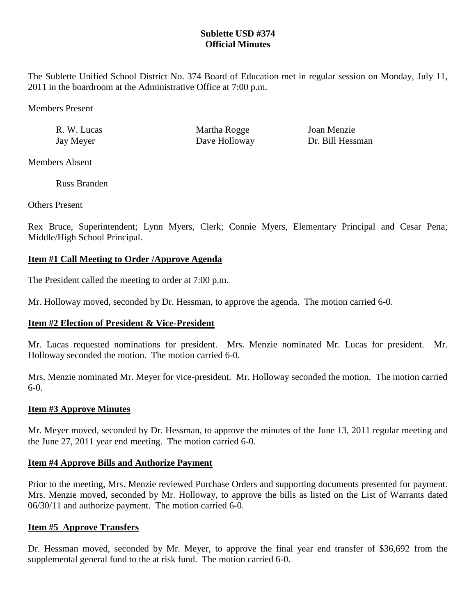# **Sublette USD #374 Official Minutes**

The Sublette Unified School District No. 374 Board of Education met in regular session on Monday, July 11, 2011 in the boardroom at the Administrative Office at 7:00 p.m.

Members Present

| R. W. Lucas | Martha Rogge  | Joan Menzie      |
|-------------|---------------|------------------|
| Jay Meyer   | Dave Holloway | Dr. Bill Hessman |

Members Absent

Russ Branden

Others Present

Rex Bruce, Superintendent; Lynn Myers, Clerk; Connie Myers, Elementary Principal and Cesar Pena; Middle/High School Principal.

# **Item #1 Call Meeting to Order /Approve Agenda**

The President called the meeting to order at 7:00 p.m.

Mr. Holloway moved, seconded by Dr. Hessman, to approve the agenda. The motion carried 6-0.

# **Item #2 Election of President & Vice-President**

Mr. Lucas requested nominations for president. Mrs. Menzie nominated Mr. Lucas for president. Mr. Holloway seconded the motion. The motion carried 6-0.

Mrs. Menzie nominated Mr. Meyer for vice-president. Mr. Holloway seconded the motion. The motion carried 6-0.

## **Item #3 Approve Minutes**

Mr. Meyer moved, seconded by Dr. Hessman, to approve the minutes of the June 13, 2011 regular meeting and the June 27, 2011 year end meeting. The motion carried 6-0.

## **Item #4 Approve Bills and Authorize Payment**

Prior to the meeting, Mrs. Menzie reviewed Purchase Orders and supporting documents presented for payment. Mrs. Menzie moved, seconded by Mr. Holloway, to approve the bills as listed on the List of Warrants dated 06/30/11 and authorize payment. The motion carried 6-0.

## **Item #5 Approve Transfers**

Dr. Hessman moved, seconded by Mr. Meyer, to approve the final year end transfer of \$36,692 from the supplemental general fund to the at risk fund. The motion carried 6-0.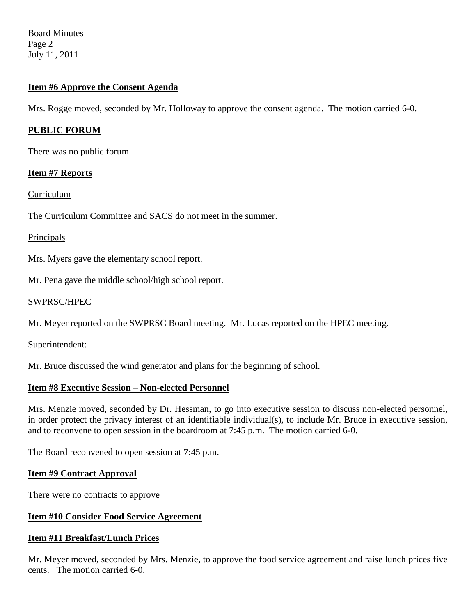Board Minutes Page 2 July 11, 2011

## **Item #6 Approve the Consent Agenda**

Mrs. Rogge moved, seconded by Mr. Holloway to approve the consent agenda. The motion carried 6-0.

## **PUBLIC FORUM**

There was no public forum.

### **Item #7 Reports**

Curriculum

The Curriculum Committee and SACS do not meet in the summer.

### Principals

Mrs. Myers gave the elementary school report.

Mr. Pena gave the middle school/high school report.

### SWPRSC/HPEC

Mr. Meyer reported on the SWPRSC Board meeting. Mr. Lucas reported on the HPEC meeting.

Superintendent:

Mr. Bruce discussed the wind generator and plans for the beginning of school.

## **Item #8 Executive Session – Non-elected Personnel**

Mrs. Menzie moved, seconded by Dr. Hessman, to go into executive session to discuss non-elected personnel, in order protect the privacy interest of an identifiable individual(s), to include Mr. Bruce in executive session, and to reconvene to open session in the boardroom at 7:45 p.m. The motion carried 6-0.

The Board reconvened to open session at 7:45 p.m.

#### **Item #9 Contract Approval**

There were no contracts to approve

#### **Item #10 Consider Food Service Agreement**

#### **Item #11 Breakfast/Lunch Prices**

Mr. Meyer moved, seconded by Mrs. Menzie, to approve the food service agreement and raise lunch prices five cents. The motion carried 6-0.